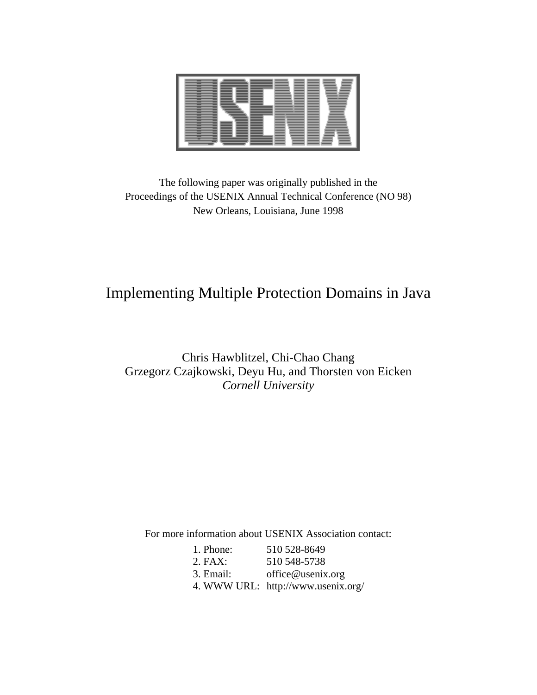

The following paper was originally published in the Proceedings of the USENIX Annual Technical Conference (NO 98) New Orleans, Louisiana, June 1998

# Implementing Multiple Protection Domains in Java

Chris Hawblitzel, Chi-Chao Chang Grzegorz Czajkowski, Deyu Hu, and Thorsten von Eicken *Cornell University*

For more information about USENIX Association contact:

| 1. Phone: | 510 528-8649                       |
|-----------|------------------------------------|
| $2.$ FAX: | 510 548-5738                       |
| 3. Email: | office@usenix.org                  |
|           | 4. WWW URL: http://www.usenix.org/ |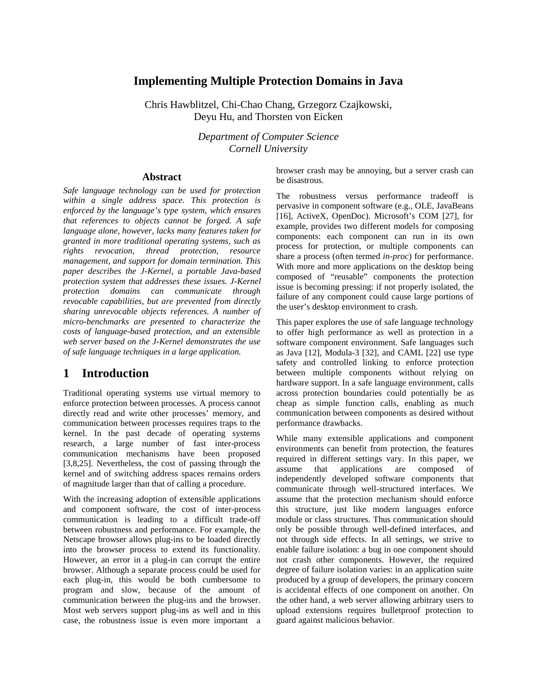### **Implementing Multiple Protection Domains in Java**

Chris Hawblitzel, Chi-Chao Chang, Grzegorz Czajkowski, Deyu Hu, and Thorsten von Eicken

> *Department of Computer Science Cornell University*

#### **Abstract**

*Safe language technology can be used for protection within a single address space. This protection is enforced by the language's type system, which ensures that references to objects cannot be forged. A safe language alone, however, lacks many features taken for granted in more traditional operating systems, such as rights revocation, thread protection, resource management, and support for domain termination. This paper describes the J-Kernel, a portable Java-based protection system that addresses these issues. J-Kernel protection domains can communicate through revocable capabilities, but are prevented from directly sharing unrevocable objects references. A number of micro-benchmarks are presented to characterize the costs of language-based protection, and an extensible web server based on the J-Kernel demonstrates the use of safe language techniques in a large application.*

### **1 Introduction**

Traditional operating systems use virtual memory to enforce protection between processes. A process cannot directly read and write other processes' memory, and communication between processes requires traps to the kernel. In the past decade of operating systems research, a large number of fast inter-process communication mechanisms have been proposed [3,8,25]. Nevertheless, the cost of passing through the kernel and of switching address spaces remains orders of magnitude larger than that of calling a procedure.

With the increasing adoption of extensible applications and component software, the cost of inter-process communication is leading to a difficult trade-off between robustness and performance. For example, the Netscape browser allows plug-ins to be loaded directly into the browser process to extend its functionality. However, an error in a plug-in can corrupt the entire browser. Although a separate process could be used for each plug-in, this would be both cumbersome to program and slow, because of the amount of communication between the plug-ins and the browser. Most web servers support plug-ins as well and in this case, the robustness issue is even more important—a

browser crash may be annoying, but a server crash can be disastrous.

The robustness versus performance tradeoff is pervasive in component software (e.g., OLE, JavaBeans [16], ActiveX, OpenDoc). Microsoft's COM [27], for example, provides two different models for composing components: each component can run in its own process for protection, or multiple components can share a process (often termed *in-proc*) for performance. With more and more applications on the desktop being composed of "reusable" components the protection issue is becoming pressing: if not properly isolated, the failure of any component could cause large portions of the user's desktop environment to crash.

This paper explores the use of safe language technology to offer high performance as well as protection in a software component environment. Safe languages such as Java [12], Modula-3 [32], and CAML [22] use type safety and controlled linking to enforce protection between multiple components without relying on hardware support. In a safe language environment, calls across protection boundaries could potentially be as cheap as simple function calls, enabling as much communication between components as desired without performance drawbacks.

While many extensible applications and component environments can benefit from protection, the features required in different settings vary. In this paper, we assume that applications are composed of independently developed software components that communicate through well-structured interfaces. We assume that the protection mechanism should enforce this structure, just like modern languages enforce module or class structures. Thus communication should only be possible through well-defined interfaces, and not through side effects. In all settings, we strive to enable failure isolation: a bug in one component should not crash other components. However, the required degree of failure isolation varies: in an application suite produced by a group of developers, the primary concern is accidental effects of one component on another. On the other hand, a web server allowing arbitrary users to upload extensions requires bulletproof protection to guard against malicious behavior.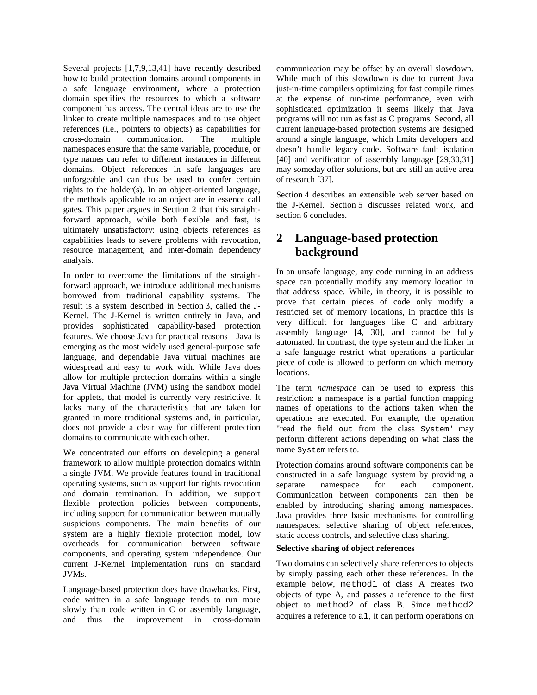Several projects [1,7,9,13,41] have recently described how to build protection domains around components in a safe language environment, where a protection domain specifies the resources to which a software component has access. The central ideas are to use the linker to create multiple namespaces and to use object references (i.e., pointers to objects) as capabilities for cross-domain communication. The multiple namespaces ensure that the same variable, procedure, or type names can refer to different instances in different domains. Object references in safe languages are unforgeable and can thus be used to confer certain rights to the holder(s). In an object-oriented language, the methods applicable to an object are in essence call gates. This paper argues in Section 2 that this straightforward approach, while both flexible and fast, is ultimately unsatisfactory: using objects references as capabilities leads to severe problems with revocation, resource management, and inter-domain dependency analysis.

In order to overcome the limitations of the straightforward approach, we introduce additional mechanisms borrowed from traditional capability systems. The result is a system described in Section 3, called the J-Kernel. The J-Kernel is written entirely in Java, and provides sophisticated capability-based protection features. We choose Java for practical reasons-Java is emerging as the most widely used general-purpose safe language, and dependable Java virtual machines are widespread and easy to work with. While Java does allow for multiple protection domains within a single Java Virtual Machine (JVM) using the sandbox model for applets, that model is currently very restrictive. It lacks many of the characteristics that are taken for granted in more traditional systems and, in particular, does not provide a clear way for different protection domains to communicate with each other.

We concentrated our efforts on developing a general framework to allow multiple protection domains within a single JVM. We provide features found in traditional operating systems, such as support for rights revocation and domain termination. In addition, we support flexible protection policies between components, including support for communication between mutually suspicious components. The main benefits of our system are a highly flexible protection model, low overheads for communication between software components, and operating system independence. Our current J-Kernel implementation runs on standard JVMs.

Language-based protection does have drawbacks. First, code written in a safe language tends to run more slowly than code written in C or assembly language, and thus the improvement in cross-domain

communication may be offset by an overall slowdown. While much of this slowdown is due to current Java just-in-time compilers optimizing for fast compile times at the expense of run-time performance, even with sophisticated optimization it seems likely that Java programs will not run as fast as C programs. Second, all current language-based protection systems are designed around a single language, which limits developers and doesn't handle legacy code. Software fault isolation [40] and verification of assembly language [29,30,31] may someday offer solutions, but are still an active area of research [37].

Section 4 describes an extensible web server based on the J-Kernel. Section 5 discusses related work, and section 6 concludes.

# **2 Language-based protection background**

In an unsafe language, any code running in an address space can potentially modify any memory location in that address space. While, in theory, it is possible to prove that certain pieces of code only modify a restricted set of memory locations, in practice this is very difficult for languages like C and arbitrary assembly language [4, 30], and cannot be fully automated. In contrast, the type system and the linker in a safe language restrict what operations a particular piece of code is allowed to perform on which memory locations.

The term *namespace* can be used to express this restriction: a namespace is a partial function mapping names of operations to the actions taken when the operations are executed. For example, the operation "read the field out from the class System" may perform different actions depending on what class the name System refers to.

Protection domains around software components can be constructed in a safe language system by providing a separate namespace for each component. Communication between components can then be enabled by introducing sharing among namespaces. Java provides three basic mechanisms for controlling namespaces: selective sharing of object references, static access controls, and selective class sharing.

#### **Selective sharing of object references**

Two domains can selectively share references to objects by simply passing each other these references. In the example below, method1 of class A creates two objects of type A, and passes a reference to the first object to method2 of class B. Since method2 acquires a reference to a1, it can perform operations on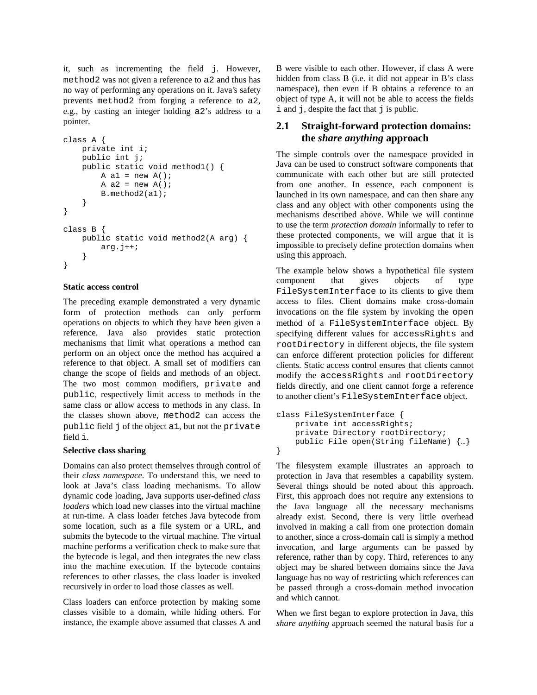it, such as incrementing the field j. However, method2 was not given a reference to a2 and thus has no way of performing any operations on it. Java's safety prevents method2 from forging a reference to a2, e.g., by casting an integer holding a2's address to a pointer.

```
class A {
     private int i;
     public int j;
     public static void method1() {
        A al = new A();
        A a2 = new A();
         B.method2(a1);
     }
}
class B {
     public static void method2(A arg) {
         arg.j++;
     }
}
```
#### **Static access control**

The preceding example demonstrated a very dynamic form of protection—methods can only perform operations on objects to which they have been given a reference. Java also provides static protection mechanisms that limit what operations a method can perform on an object once the method has acquired a reference to that object. A small set of modifiers can change the scope of fields and methods of an object. The two most common modifiers, private and public, respectively limit access to methods in the same class or allow access to methods in any class. In the classes shown above, method2 can access the public field j of the object a1, but not the private field i.

#### **Selective class sharing**

Domains can also protect themselves through control of their *class namespace*. To understand this, we need to look at Java's class loading mechanisms. To allow dynamic code loading, Java supports user-defined *class loaders* which load new classes into the virtual machine at run-time. A class loader fetches Java bytecode from some location, such as a file system or a URL, and submits the bytecode to the virtual machine. The virtual machine performs a verification check to make sure that the bytecode is legal, and then integrates the new class into the machine execution. If the bytecode contains references to other classes, the class loader is invoked recursively in order to load those classes as well.

Class loaders can enforce protection by making some classes visible to a domain, while hiding others. For instance, the example above assumed that classes A and

B were visible to each other. However, if class A were hidden from class B (i.e. it did not appear in B's class namespace), then even if B obtains a reference to an object of type A, it will not be able to access the fields  $\pm$  and  $\pm$ , despite the fact that  $\pm$  is public.

#### **2.1 Straight-forward protection domains: the** *share anything* **approach**

The simple controls over the namespace provided in Java can be used to construct software components that communicate with each other but are still protected from one another. In essence, each component is launched in its own namespace, and can then share any class and any object with other components using the mechanisms described above. While we will continue to use the term *protection domain* informally to refer to these protected components, we will argue that it is impossible to precisely define protection domains when using this approach.

The example below shows a hypothetical file system component that gives objects of type FileSystemInterface to its clients to give them access to files. Client domains make cross-domain invocations on the file system by invoking the open method of a FileSystemInterface object. By specifying different values for accessRights and rootDirectory in different objects, the file system can enforce different protection policies for different clients. Static access control ensures that clients cannot modify the accessRights and rootDirectory fields directly, and one client cannot forge a reference to another client's FileSystemInterface object.

```
class FileSystemInterface {
     private int accessRights;
     private Directory rootDirectory;
     public File open(String fileName) {…}
}
```
The filesystem example illustrates an approach to protection in Java that resembles a capability system. Several things should be noted about this approach. First, this approach does not require any extensions to the Java language—all the necessary mechanisms already exist. Second, there is very little overhead involved in making a call from one protection domain to another, since a cross-domain call is simply a method invocation, and large arguments can be passed by reference, rather than by copy. Third, references to any object may be shared between domains since the Java language has no way of restricting which references can be passed through a cross-domain method invocation and which cannot.

When we first began to explore protection in Java, this *share anything* approach seemed the natural basis for a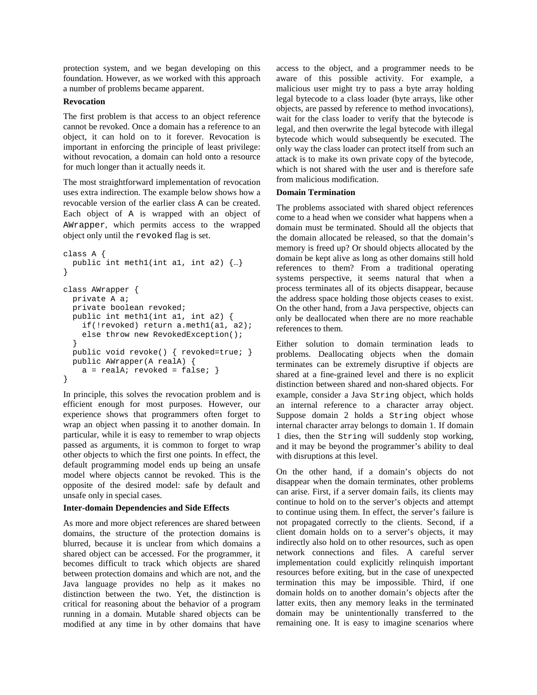protection system, and we began developing on this foundation. However, as we worked with this approach a number of problems became apparent.

#### **Revocation**

The first problem is that access to an object reference cannot be revoked. Once a domain has a reference to an object, it can hold on to it forever. Revocation is important in enforcing the principle of least privilege: without revocation, a domain can hold onto a resource for much longer than it actually needs it.

The most straightforward implementation of revocation uses extra indirection. The example below shows how a revocable version of the earlier class A can be created. Each object of A is wrapped with an object of AWrapper, which permits access to the wrapped object only until the revoked flag is set.

```
class A {
   public int meth1(int a1, int a2) {…}
}
class AWrapper {
   private A a;
   private boolean revoked;
   public int meth1(int a1, int a2) {
     if(!revoked) return a.meth1(a1, a2);
     else throw new RevokedException();
 }
   public void revoke() { revoked=true; }
   public AWrapper(A realA) {
    a = realA; revoked = false; }
}
```
In principle, this solves the revocation problem and is efficient enough for most purposes. However, our experience shows that programmers often forget to wrap an object when passing it to another domain. In particular, while it is easy to remember to wrap objects passed as arguments, it is common to forget to wrap other objects to which the first one points. In effect, the default programming model ends up being an unsafe model where objects cannot be revoked. This is the opposite of the desired model: safe by default and unsafe only in special cases.

#### **Inter-domain Dependencies and Side Effects**

As more and more object references are shared between domains, the structure of the protection domains is blurred, because it is unclear from which domains a shared object can be accessed. For the programmer, it becomes difficult to track which objects are shared between protection domains and which are not, and the Java language provides no help as it makes no distinction between the two. Yet, the distinction is critical for reasoning about the behavior of a program running in a domain. Mutable shared objects can be modified at any time in by other domains that have

access to the object, and a programmer needs to be aware of this possible activity. For example, a malicious user might try to pass a byte array holding legal bytecode to a class loader (byte arrays, like other objects, are passed by reference to method invocations), wait for the class loader to verify that the bytecode is legal, and then overwrite the legal bytecode with illegal bytecode which would subsequently be executed. The only way the class loader can protect itself from such an attack is to make its own private copy of the bytecode, which is not shared with the user and is therefore safe from malicious modification.

#### **Domain Termination**

The problems associated with shared object references come to a head when we consider what happens when a domain must be terminated. Should all the objects that the domain allocated be released, so that the domain's memory is freed up? Or should objects allocated by the domain be kept alive as long as other domains still hold references to them? From a traditional operating systems perspective, it seems natural that when a process terminates all of its objects disappear, because the address space holding those objects ceases to exist. On the other hand, from a Java perspective, objects can only be deallocated when there are no more reachable references to them.

Either solution to domain termination leads to problems. Deallocating objects when the domain terminates can be extremely disruptive if objects are shared at a fine-grained level and there is no explicit distinction between shared and non-shared objects. For example, consider a Java String object, which holds an internal reference to a character array object. Suppose domain 2 holds a String object whose internal character array belongs to domain 1. If domain 1 dies, then the String will suddenly stop working, and it may be beyond the programmer's ability to deal with disruptions at this level.

On the other hand, if a domain's objects do not disappear when the domain terminates, other problems can arise. First, if a server domain fails, its clients may continue to hold on to the server's objects and attempt to continue using them. In effect, the server's failure is not propagated correctly to the clients. Second, if a client domain holds on to a server's objects, it may indirectly also hold on to other resources, such as open network connections and files. A careful server implementation could explicitly relinquish important resources before exiting, but in the case of unexpected termination this may be impossible. Third, if one domain holds on to another domain's objects after the latter exits, then any memory leaks in the terminated domain may be unintentionally transferred to the remaining one. It is easy to imagine scenarios where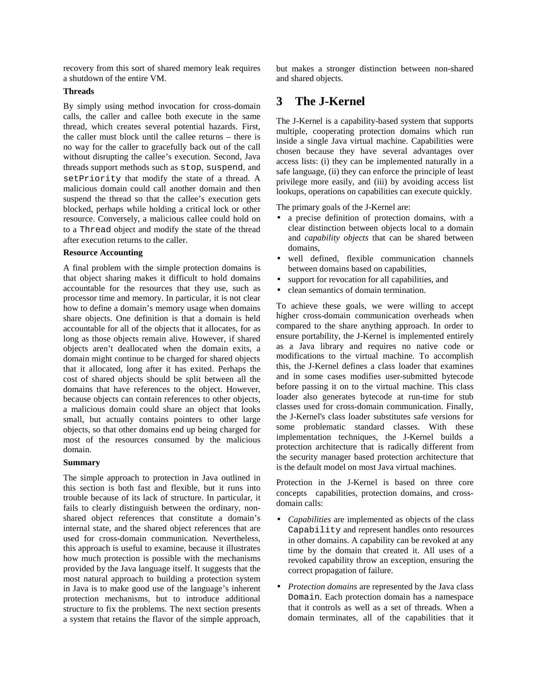recovery from this sort of shared memory leak requires a shutdown of the entire VM.

#### **Threads**

By simply using method invocation for cross-domain calls, the caller and callee both execute in the same thread, which creates several potential hazards. First, the caller must block until the callee returns – there is no way for the caller to gracefully back out of the call without disrupting the callee's execution. Second, Java threads support methods such as stop, suspend, and setPriority that modify the state of a thread. A malicious domain could call another domain and then suspend the thread so that the callee's execution gets blocked, perhaps while holding a critical lock or other resource. Conversely, a malicious callee could hold on to a Thread object and modify the state of the thread after execution returns to the caller.

#### **Resource Accounting**

A final problem with the simple protection domains is that object sharing makes it difficult to hold domains accountable for the resources that they use, such as processor time and memory. In particular, it is not clear how to define a domain's memory usage when domains share objects. One definition is that a domain is held accountable for all of the objects that it allocates, for as long as those objects remain alive. However, if shared objects aren't deallocated when the domain exits, a domain might continue to be charged for shared objects that it allocated, long after it has exited. Perhaps the cost of shared objects should be split between all the domains that have references to the object. However, because objects can contain references to other objects, a malicious domain could share an object that looks small, but actually contains pointers to other large objects, so that other domains end up being charged for most of the resources consumed by the malicious domain.

#### **Summary**

The simple approach to protection in Java outlined in this section is both fast and flexible, but it runs into trouble because of its lack of structure. In particular, it fails to clearly distinguish between the ordinary, nonshared object references that constitute a domain's internal state, and the shared object references that are used for cross-domain communication. Nevertheless, this approach is useful to examine, because it illustrates how much protection is possible with the mechanisms provided by the Java language itself. It suggests that the most natural approach to building a protection system in Java is to make good use of the language's inherent protection mechanisms, but to introduce additional structure to fix the problems. The next section presents a system that retains the flavor of the simple approach,

but makes a stronger distinction between non-shared and shared objects.

# **3 The J-Kernel**

The J-Kernel is a capability-based system that supports multiple, cooperating protection domains which run inside a single Java virtual machine. Capabilities were chosen because they have several advantages over access lists: (i) they can be implemented naturally in a safe language, (ii) they can enforce the principle of least privilege more easily, and (iii) by avoiding access list lookups, operations on capabilities can execute quickly.

The primary goals of the J-Kernel are:

- a precise definition of protection domains, with a clear distinction between objects local to a domain and *capability objects* that can be shared between domains,
- well defined, flexible communication channels between domains based on capabilities,
- support for revocation for all capabilities, and
- clean semantics of domain termination.

To achieve these goals, we were willing to accept higher cross-domain communication overheads when compared to the share anything approach. In order to ensure portability, the J-Kernel is implemented entirely as a Java library and requires no native code or modifications to the virtual machine. To accomplish this, the J-Kernel defines a class loader that examines and in some cases modifies user-submitted bytecode before passing it on to the virtual machine. This class loader also generates bytecode at run-time for stub classes used for cross-domain communication. Finally, the J-Kernel's class loader substitutes safe versions for some problematic standard classes. With these implementation techniques, the J-Kernel builds a protection architecture that is radically different from the security manager based protection architecture that is the default model on most Java virtual machines.

Protection in the J-Kernel is based on three core concepts—capabilities, protection domains, and crossdomain calls:

- *Capabilities* are implemented as objects of the class Capability and represent handles onto resources in other domains. A capability can be revoked at any time by the domain that created it. All uses of a revoked capability throw an exception, ensuring the correct propagation of failure.
- *Protection domains* are represented by the Java class Domain. Each protection domain has a namespace that it controls as well as a set of threads. When a domain terminates, all of the capabilities that it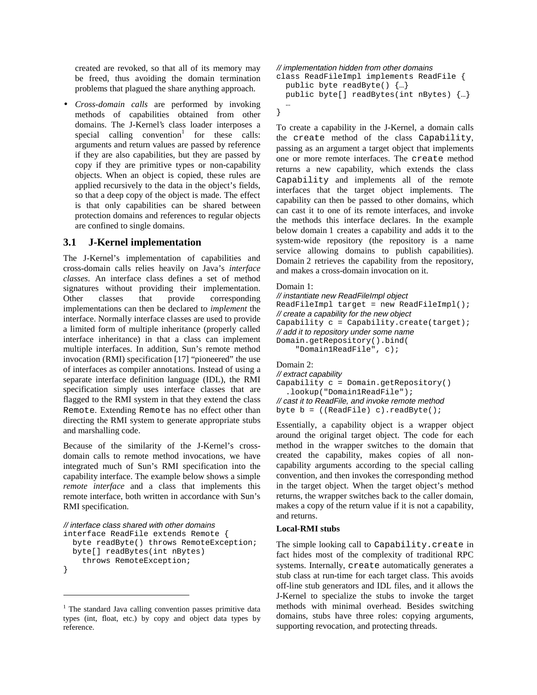created are revoked, so that all of its memory may be freed, thus avoiding the domain termination problems that plagued the share anything approach.

• *Cross-domain calls* are performed by invoking methods of capabilities obtained from other domains. The J-Kernel's class loader interposes a special calling convention $1$  for these calls: arguments and return values are passed by reference if they are also capabilities, but they are passed by copy if they are primitive types or non-capability objects. When an object is copied, these rules are applied recursively to the data in the object's fields, so that a deep copy of the object is made. The effect is that only capabilities can be shared between protection domains and references to regular objects are confined to single domains.

### **3.1 J-Kernel implementation**

The J-Kernel's implementation of capabilities and cross-domain calls relies heavily on Java's *interface classes*. An interface class defines a set of method signatures without providing their implementation. Other classes that provide corresponding implementations can then be declared to *implement* the interface. Normally interface classes are used to provide a limited form of multiple inheritance (properly called interface inheritance) in that a class can implement multiple interfaces. In addition, Sun's remote method invocation (RMI) specification [17] "pioneered" the use of interfaces as compiler annotations. Instead of using a separate interface definition language (IDL), the RMI specification simply uses interface classes that are flagged to the RMI system in that they extend the class Remote. Extending Remote has no effect other than directing the RMI system to generate appropriate stubs and marshalling code.

Because of the similarity of the J-Kernel's crossdomain calls to remote method invocations, we have integrated much of Sun's RMI specification into the capability interface. The example below shows a simple *remote interface* and a class that implements this remote interface, both written in accordance with Sun's RMI specification.

```
// interface class shared with other domains
```
 $\overline{a}$ 

```
interface ReadFile extends Remote {
   byte readByte() throws RemoteException;
   byte[] readBytes(int nBytes)
     throws RemoteException;
}
```

```
// implementation hidden from other domains
class ReadFileImpl implements ReadFile {
```

```
 public byte readByte() {…}
  public byte[] readBytes(int nBytes) {…}
 …
}
```
To create a capability in the J-Kernel, a domain calls the create method of the class Capability, passing as an argument a target object that implements one or more remote interfaces. The create method returns a new capability, which extends the class Capability and implements all of the remote interfaces that the target object implements. The capability can then be passed to other domains, which can cast it to one of its remote interfaces, and invoke the methods this interface declares. In the example below domain 1 creates a capability and adds it to the system-wide repository (the repository is a name service allowing domains to publish capabilities). Domain 2 retrieves the capability from the repository, and makes a cross-domain invocation on it.

#### Domain 1:

// instantiate new ReadFileImpl object  $ReadFileImpl target = new ReadFileImpl()$ ; // create a capability for the new object Capability  $c =$  Capability.create(target); // add it to repository under some name Domain.getRepository().bind( "Domain1ReadFile", c);

### Domain 2:

```
// extract capability
Capability c = Domain.getRepository() .lookup("Domain1ReadFile");
// cast it to ReadFile, and invoke remote method
byte b = ((ReadFile) c) .readByte();
```
Essentially, a capability object is a wrapper object around the original target object. The code for each method in the wrapper switches to the domain that created the capability, makes copies of all noncapability arguments according to the special calling convention, and then invokes the corresponding method in the target object. When the target object's method returns, the wrapper switches back to the caller domain, makes a copy of the return value if it is not a capability, and returns.

#### **Local-RMI stubs**

The simple looking call to Capability.create in fact hides most of the complexity of traditional RPC systems. Internally, create automatically generates a stub class at run-time for each target class. This avoids off-line stub generators and IDL files, and it allows the J-Kernel to specialize the stubs to invoke the target methods with minimal overhead. Besides switching domains, stubs have three roles: copying arguments, supporting revocation, and protecting threads.

 $1$  The standard Java calling convention passes primitive data types (int, float, etc.) by copy and object data types by reference.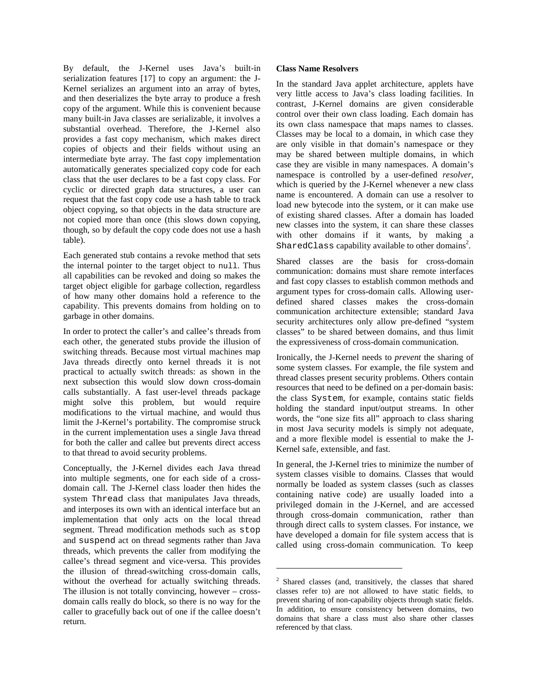By default, the J-Kernel uses Java's built-in serialization features [17] to copy an argument: the J-Kernel serializes an argument into an array of bytes, and then deserializes the byte array to produce a fresh copy of the argument. While this is convenient because many built-in Java classes are serializable, it involves a substantial overhead. Therefore, the J-Kernel also provides a fast copy mechanism, which makes direct copies of objects and their fields without using an intermediate byte array. The fast copy implementation automatically generates specialized copy code for each class that the user declares to be a fast copy class. For cyclic or directed graph data structures, a user can request that the fast copy code use a hash table to track object copying, so that objects in the data structure are not copied more than once (this slows down copying, though, so by default the copy code does not use a hash table).

Each generated stub contains a revoke method that sets the internal pointer to the target object to null. Thus all capabilities can be revoked and doing so makes the target object eligible for garbage collection, regardless of how many other domains hold a reference to the capability. This prevents domains from holding on to garbage in other domains.

In order to protect the caller's and callee's threads from each other, the generated stubs provide the illusion of switching threads. Because most virtual machines map Java threads directly onto kernel threads it is not practical to actually switch threads: as shown in the next subsection this would slow down cross-domain calls substantially. A fast user-level threads package might solve this problem, but would require modifications to the virtual machine, and would thus limit the J-Kernel's portability. The compromise struck in the current implementation uses a single Java thread for both the caller and callee but prevents direct access to that thread to avoid security problems.

Conceptually, the J-Kernel divides each Java thread into multiple segments, one for each side of a crossdomain call. The J-Kernel class loader then hides the system Thread class that manipulates Java threads, and interposes its own with an identical interface but an implementation that only acts on the local thread segment. Thread modification methods such as stop and suspend act on thread segments rather than Java threads, which prevents the caller from modifying the callee's thread segment and vice-versa. This provides the illusion of thread-switching cross-domain calls, without the overhead for actually switching threads. The illusion is not totally convincing, however – crossdomain calls really do block, so there is no way for the caller to gracefully back out of one if the callee doesn't return.

#### **Class Name Resolvers**

In the standard Java applet architecture, applets have very little access to Java's class loading facilities. In contrast, J-Kernel domains are given considerable control over their own class loading. Each domain has its own class namespace that maps names to classes. Classes may be local to a domain, in which case they are only visible in that domain's namespace or they may be shared between multiple domains, in which case they are visible in many namespaces. A domain's namespace is controlled by a user-defined *resolver*, which is queried by the J-Kernel whenever a new class name is encountered. A domain can use a resolver to load new bytecode into the system, or it can make use of existing shared classes. After a domain has loaded new classes into the system, it can share these classes with other domains if it wants, by making a Sha $\mathtt{redClass}$  capability available to other domains $^2$ .

Shared classes are the basis for cross-domain communication: domains must share remote interfaces and fast copy classes to establish common methods and argument types for cross-domain calls. Allowing userdefined shared classes makes the cross-domain communication architecture extensible; standard Java security architectures only allow pre-defined "system classes" to be shared between domains, and thus limit the expressiveness of cross-domain communication.

Ironically, the J-Kernel needs to *prevent* the sharing of some system classes. For example, the file system and thread classes present security problems. Others contain resources that need to be defined on a per-domain basis: the class System, for example, contains static fields holding the standard input/output streams. In other words, the "one size fits all" approach to class sharing in most Java security models is simply not adequate, and a more flexible model is essential to make the J-Kernel safe, extensible, and fast.

In general, the J-Kernel tries to minimize the number of system classes visible to domains. Classes that would normally be loaded as system classes (such as classes containing native code) are usually loaded into a privileged domain in the J-Kernel, and are accessed through cross-domain communication, rather than through direct calls to system classes. For instance, we have developed a domain for file system access that is called using cross-domain communication. To keep

 $\overline{a}$ 

<sup>&</sup>lt;sup>2</sup> Shared classes (and, transitively, the classes that shared classes refer to) are not allowed to have static fields, to prevent sharing of non-capability objects through static fields. In addition, to ensure consistency between domains, two domains that share a class must also share other classes referenced by that class.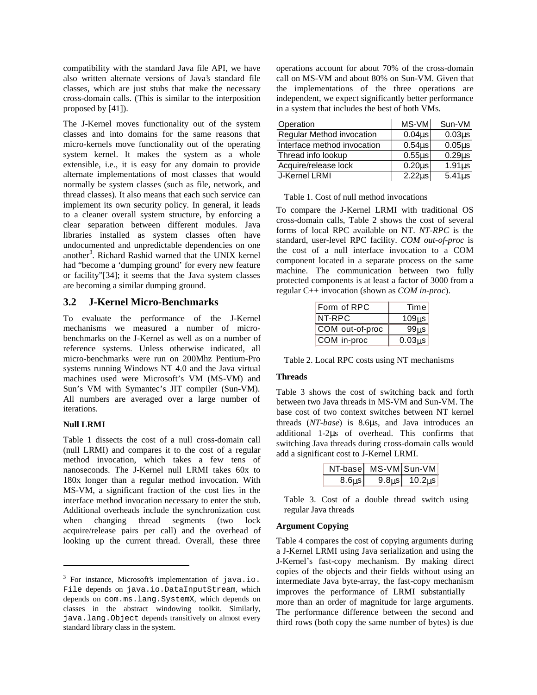compatibility with the standard Java file API, we have also written alternate versions of Java's standard file classes, which are just stubs that make the necessary cross-domain calls. (This is similar to the interposition proposed by [41]).

The J-Kernel moves functionality out of the system classes and into domains for the same reasons that micro-kernels move functionality out of the operating system kernel. It makes the system as a whole extensible, i.e., it is easy for any domain to provide alternate implementations of most classes that would normally be system classes (such as file, network, and thread classes). It also means that each such service can implement its own security policy. In general, it leads to a cleaner overall system structure, by enforcing a clear separation between different modules. Java libraries installed as system classes often have undocumented and unpredictable dependencies on one another<sup>3</sup>. Richard Rashid warned that the UNIX kernel had "become a 'dumping ground' for every new feature or facility"[34]; it seems that the Java system classes are becoming a similar dumping ground.

#### **3.2 J-Kernel Micro-Benchmarks**

To evaluate the performance of the J-Kernel mechanisms we measured a number of microbenchmarks on the J-Kernel as well as on a number of reference systems. Unless otherwise indicated, all micro-benchmarks were run on 200Mhz Pentium-Pro systems running Windows NT 4.0 and the Java virtual machines used were Microsoft's VM (MS-VM) and Sun's VM with Symantec's JIT compiler (Sun-VM). All numbers are averaged over a large number of iterations.

#### **Null LRMI**

 $\overline{a}$ 

Table 1 dissects the cost of a null cross-domain call (null LRMI) and compares it to the cost of a regular method invocation, which takes a few tens of nanoseconds. The J-Kernel null LRMI takes 60x to 180x longer than a regular method invocation. With MS-VM, a significant fraction of the cost lies in the interface method invocation necessary to enter the stub. Additional overheads include the synchronization cost when changing thread segments (two lock acquire/release pairs per call) and the overhead of looking up the current thread. Overall, these three

operations account for about 70% of the cross-domain call on MS-VM and about 80% on Sun-VM. Given that the implementations of the three operations are independent, we expect significantly better performance in a system that includes the best of both VMs.

| Operation                   | MS-VM              | Sun-VM      |
|-----------------------------|--------------------|-------------|
| Regular Method invocation   | $0.04\mus$         | $0.03\mu$ s |
| Interface method invocation | $0.54\mus$         | $0.05\mu$ s |
| Thread info lookup          | 0.55 <sub>µs</sub> | $0.29\mu s$ |
| Acquire/release lock        | $0.20\mu s$        | $1.91\mus$  |
| J-Kernel LRMI               | $2.22\mu s$        | $5.41\mu s$ |

Table 1. Cost of null method invocations

To compare the J-Kernel LRMI with traditional OS cross-domain calls, Table 2 shows the cost of several forms of local RPC available on NT. *NT-RPC* is the standard, user-level RPC facility. *COM out-of-proc* is the cost of a null interface invocation to a COM component located in a separate process on the same machine. The communication between two fully protected components is at least a factor of 3000 from a regular C++ invocation (shown as *COM in-proc*).

| Form of RPC     | Time                |  |
|-----------------|---------------------|--|
| NT-RPC          | 109 <sub>µ</sub> s  |  |
| COM out-of-proc | 99 <sub>µ</sub> s   |  |
| COM in-proc     | 0.03 <sub>µ</sub> s |  |

Table 2. Local RPC costs using NT mechanisms

#### **Threads**

Table 3 shows the cost of switching back and forth between two Java threads in MS-VM and Sun-VM. The base cost of two context switches between NT kernel threads (*NT-base*) is 8.6µs, and Java introduces an additional 1-2µs of overhead. This confirms that switching Java threads during cross-domain calls would add a significant cost to J-Kernel LRMI.

|        | NT-base MS-VM Sun-VM |                     |
|--------|----------------------|---------------------|
| 8.6usl | 9.8 <sub>u</sub> s   | 10.2 <sub>u</sub> s |

Table 3. Cost of a double thread switch using regular Java threads

#### **Argument Copying**

Table 4 compares the cost of copying arguments during a J-Kernel LRMI using Java serialization and using the J-Kernel's fast-copy mechanism. By making direct copies of the objects and their fields without using an intermediate Java byte-array, the fast-copy mechanism improves the performance of LRMI substantially more than an order of magnitude for large arguments. The performance difference between the second and third rows (both copy the same number of bytes) is due

<sup>&</sup>lt;sup>3</sup> For instance, Microsoft's implementation of java.io. File depends on java.io.DataInputStream, which depends on com.ms.lang.SystemX, which depends on classes in the abstract windowing toolkit. Similarly, java.lang.Object depends transitively on almost every standard library class in the system.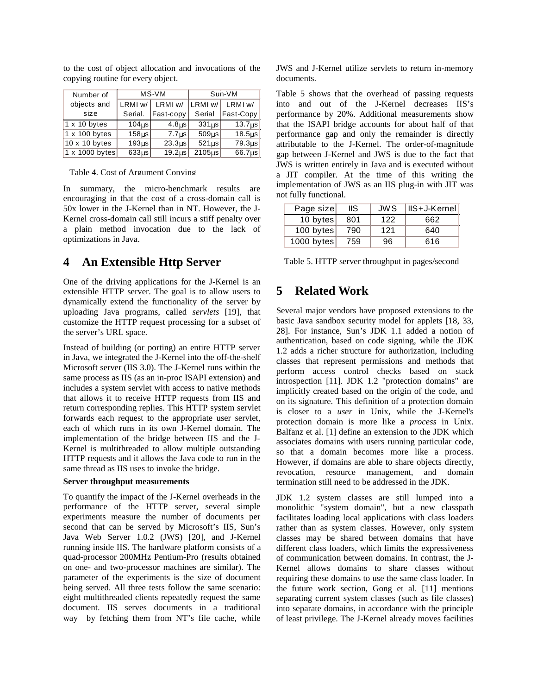| Number of            | MS-VM               |                     | Sun-VM              |                     |
|----------------------|---------------------|---------------------|---------------------|---------------------|
| objects and          | LRMI <sub>w</sub> / | LRMI <sub>w</sub> / | LRMI <sub>w</sub> / | LRMI <sub>w</sub> / |
| size                 | Serial.             | Fast-copy           | Serial              | Fast-Copy           |
| $1 \times 10$ bytes  | $104\mu s$          | 4.8 <sub>u</sub> s  | 331 <sub>u</sub> s  | $13.7\mu s$         |
| 1 x 100 bytes        | $158\mu s$          | 7.7 <sub>µ</sub> s  | 509 <sub>µ</sub> s  | $18.5\mu s$         |
| $10 \times 10$ bytes | 193 <sub>µ</sub> s  | 23.3 <sub>u</sub> s | 521 <sub>µ</sub> s  | 79.3 <sub>µ</sub> s |
| 1 x 1000 bytes       | $633\mu s$          | 19.2 <sub>µ</sub> s | $2105\mus$          | $66.7\mu s$         |

to the cost of object allocation and invocations of the copying routine for every object.

#### Table 4. Cost of Argument Copying

In summary, the micro-benchmark results are encouraging in that the cost of a cross-domain call is 50x lower in the J-Kernel than in NT. However, the J-Kernel cross-domain call still incurs a stiff penalty over a plain method invocation due to the lack of optimizations in Java.

### **4 An Extensible Http Server**

One of the driving applications for the J-Kernel is an extensible HTTP server. The goal is to allow users to dynamically extend the functionality of the server by uploading Java programs, called *servlets* [19], that customize the HTTP request processing for a subset of the server's URL space.

Instead of building (or porting) an entire HTTP server in Java, we integrated the J-Kernel into the off-the-shelf Microsoft server (IIS 3.0). The J-Kernel runs within the same process as IIS (as an in-proc ISAPI extension) and includes a system servlet with access to native methods that allows it to receive HTTP requests from IIS and return corresponding replies. This HTTP system servlet forwards each request to the appropriate user servlet, each of which runs in its own J-Kernel domain. The implementation of the bridge between IIS and the J-Kernel is multithreaded to allow multiple outstanding HTTP requests and it allows the Java code to run in the same thread as IIS uses to invoke the bridge.

#### **Server throughput measurements**

To quantify the impact of the J-Kernel overheads in the performance of the HTTP server, several simple experiments measure the number of documents per second that can be served by Microsoft's IIS, Sun's Java Web Server 1.0.2 (JWS) [20], and J-Kernel running inside IIS. The hardware platform consists of a quad-processor 200MHz Pentium-Pro (results obtained on one- and two-processor machines are similar). The parameter of the experiments is the size of document being served. All three tests follow the same scenario: eight multithreaded clients repeatedly request the same document. IIS serves documents in a traditional way—by fetching them from NT's file cache, while

JWS and J-Kernel utilize servlets to return in-memory documents.

Table 5 shows that the overhead of passing requests into and out of the J-Kernel decreases IIS's performance by 20%. Additional measurements show that the ISAPI bridge accounts for about half of that performance gap and only the remainder is directly attributable to the J-Kernel. The order-of-magnitude gap between J-Kernel and JWS is due to the fact that JWS is written entirely in Java and is executed without a JIT compiler. At the time of this writing the implementation of JWS as an IIS plug-in with JIT was not fully functional.

| Page size  | IIS. | JW S | IIS+J-Kernel |
|------------|------|------|--------------|
| 10 bytes   | 801  | 122  | 662          |
| 100 bytes  | 790  | 121  | 640          |
| 1000 bytes | 759  | 96   | 616          |

Table 5. HTTP server throughput in pages/second

# **5 Related Work**

Several major vendors have proposed extensions to the basic Java sandbox security model for applets [18, 33, 28]. For instance, Sun's JDK 1.1 added a notion of authentication, based on code signing, while the JDK 1.2 adds a richer structure for authorization, including classes that represent permissions and methods that perform access control checks based on stack introspection [11]. JDK 1.2 "protection domains" are implicitly created based on the origin of the code, and on its signature. This definition of a protection domain is closer to a *user* in Unix, while the J-Kernel's protection domain is more like a *process* in Unix. Balfanz et al. [1] define an extension to the JDK which associates domains with users running particular code, so that a domain becomes more like a process. However, if domains are able to share objects directly, revocation, resource management, and domain termination still need to be addressed in the JDK.

JDK 1.2 system classes are still lumped into a monolithic "system domain", but a new classpath facilitates loading local applications with class loaders rather than as system classes. However, only system classes may be shared between domains that have different class loaders, which limits the expressiveness of communication between domains. In contrast, the J-Kernel allows domains to share classes without requiring these domains to use the same class loader. In the future work section, Gong et al. [11] mentions separating current system classes (such as file classes) into separate domains, in accordance with the principle of least privilege. The J-Kernel already moves facilities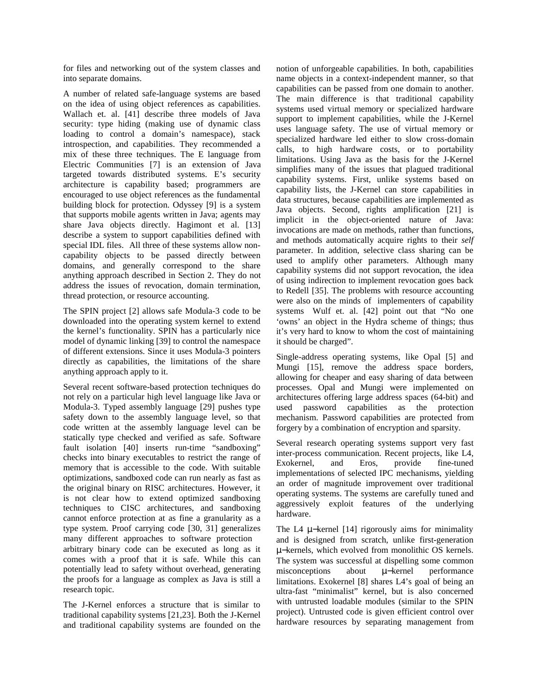for files and networking out of the system classes and into separate domains.

A number of related safe-language systems are based on the idea of using object references as capabilities. Wallach et. al. [41] describe three models of Java security: type hiding (making use of dynamic class loading to control a domain's namespace), stack introspection, and capabilities. They recommended a mix of these three techniques. The E language from Electric Communities [7] is an extension of Java targeted towards distributed systems. E's security architecture is capability based; programmers are encouraged to use object references as the fundamental building block for protection. Odyssey [9] is a system that supports mobile agents written in Java; agents may share Java objects directly. Hagimont et al. [13] describe a system to support capabilities defined with special IDL files. All three of these systems allow noncapability objects to be passed directly between domains, and generally correspond to the share anything approach described in Section 2. They do not address the issues of revocation, domain termination, thread protection, or resource accounting.

The SPIN project [2] allows safe Modula-3 code to be downloaded into the operating system kernel to extend the kernel's functionality. SPIN has a particularly nice model of dynamic linking [39] to control the namespace of different extensions. Since it uses Modula-3 pointers directly as capabilities, the limitations of the share anything approach apply to it.

Several recent software-based protection techniques do not rely on a particular high level language like Java or Modula-3. Typed assembly language [29] pushes type safety down to the assembly language level, so that code written at the assembly language level can be statically type checked and verified as safe. Software fault isolation [40] inserts run-time "sandboxing" checks into binary executables to restrict the range of memory that is accessible to the code. With suitable optimizations, sandboxed code can run nearly as fast as the original binary on RISC architectures. However, it is not clear how to extend optimized sandboxing techniques to CISC architectures, and sandboxing cannot enforce protection at as fine a granularity as a type system. Proof carrying code [30, 31] generalizes many different approaches to software protection arbitrary binary code can be executed as long as it comes with a proof that it is safe. While this can potentially lead to safety without overhead, generating the proofs for a language as complex as Java is still a research topic.

The J-Kernel enforces a structure that is similar to traditional capability systems [21,23]. Both the J-Kernel and traditional capability systems are founded on the notion of unforgeable capabilities. In both, capabilities name objects in a context-independent manner, so that capabilities can be passed from one domain to another. The main difference is that traditional capability systems used virtual memory or specialized hardware support to implement capabilities, while the J-Kernel uses language safety. The use of virtual memory or specialized hardware led either to slow cross-domain calls, to high hardware costs, or to portability limitations. Using Java as the basis for the J-Kernel simplifies many of the issues that plagued traditional capability systems. First, unlike systems based on capability lists, the J-Kernel can store capabilities in data structures, because capabilities are implemented as Java objects. Second, rights amplification [21] is implicit in the object-oriented nature of Java: invocations are made on methods, rather than functions, and methods automatically acquire rights to their *self* parameter. In addition, selective class sharing can be used to amplify other parameters. Although many capability systems did not support revocation, the idea of using indirection to implement revocation goes back to Redell [35]. The problems with resource accounting were also on the minds of implementers of capability systems—Wulf et. al. [42] point out that "No one 'owns' an object in the Hydra scheme of things; thus it's very hard to know to whom the cost of maintaining it should be charged".

Single-address operating systems, like Opal [5] and Mungi [15], remove the address space borders, allowing for cheaper and easy sharing of data between processes. Opal and Mungi were implemented on architectures offering large address spaces (64-bit) and used password capabilities as the protection mechanism. Password capabilities are protected from forgery by a combination of encryption and sparsity.

Several research operating systems support very fast inter-process communication. Recent projects, like L4, Exokernel, and Eros, provide fine-tuned implementations of selected IPC mechanisms, yielding an order of magnitude improvement over traditional operating systems. The systems are carefully tuned and aggressively exploit features of the underlying hardware.

The L4 µ−kernel [14] rigorously aims for minimality and is designed from scratch, unlike first-generation µ−kernels, which evolved from monolithic OS kernels. The system was successful at dispelling some common misconceptions about µ−kernel performance limitations. Exokernel [8] shares L4's goal of being an ultra-fast "minimalist" kernel, but is also concerned with untrusted loadable modules (similar to the SPIN project). Untrusted code is given efficient control over hardware resources by separating management from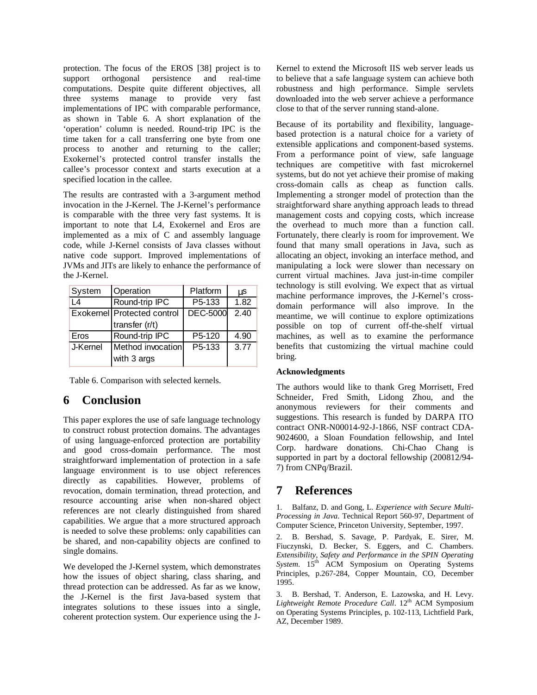protection. The focus of the EROS [38] project is to support orthogonal persistence and real-time computations. Despite quite different objectives, all three systems manage to provide very fast implementations of IPC with comparable performance, as shown in Table 6. A short explanation of the 'operation' column is needed. Round-trip IPC is the time taken for a call transferring one byte from one process to another and returning to the caller; Exokernel's protected control transfer installs the callee's processor context and starts execution at a specified location in the callee.

The results are contrasted with a 3-argument method invocation in the J-Kernel. The J-Kernel's performance is comparable with the three very fast systems. It is important to note that L4, Exokernel and Eros are implemented as a mix of C and assembly language code, while J-Kernel consists of Java classes without native code support. Improved implementations of JVMs and JITs are likely to enhance the performance of the J-Kernel.

| System      | Operation                     | Platform        | μS   |
|-------------|-------------------------------|-----------------|------|
| $\lfloor 4$ | Round-trip IPC                | P5-133          | 1.82 |
|             | Exokernel   Protected control | <b>DEC-5000</b> | 2.40 |
|             | transfer (r/t)                |                 |      |
| Eros        | <b>Round-trip IPC</b>         | P5-120          | 4.90 |
| J-Kernel    | Method invocation             | P5-133          | 3.77 |
|             | with 3 args                   |                 |      |

Table 6. Comparison with selected kernels.

# **6 Conclusion**

This paper explores the use of safe language technology to construct robust protection domains. The advantages of using language-enforced protection are portability and good cross-domain performance. The most straightforward implementation of protection in a safe language environment is to use object references directly as capabilities. However, problems of revocation, domain termination, thread protection, and resource accounting arise when non-shared object references are not clearly distinguished from shared capabilities. We argue that a more structured approach is needed to solve these problems: only capabilities can be shared, and non-capability objects are confined to single domains.

We developed the J-Kernel system, which demonstrates how the issues of object sharing, class sharing, and thread protection can be addressed. As far as we know, the J-Kernel is the first Java-based system that integrates solutions to these issues into a single, coherent protection system. Our experience using the J-

Kernel to extend the Microsoft IIS web server leads us to believe that a safe language system can achieve both robustness and high performance. Simple servlets downloaded into the web server achieve a performance close to that of the server running stand-alone.

Because of its portability and flexibility, languagebased protection is a natural choice for a variety of extensible applications and component-based systems. From a performance point of view, safe language techniques are competitive with fast microkernel systems, but do not yet achieve their promise of making cross-domain calls as cheap as function calls. Implementing a stronger model of protection than the straightforward share anything approach leads to thread management costs and copying costs, which increase the overhead to much more than a function call. Fortunately, there clearly is room for improvement. We found that many small operations in Java, such as allocating an object, invoking an interface method, and manipulating a lock were slower than necessary on current virtual machines. Java just-in-time compiler technology is still evolving. We expect that as virtual machine performance improves, the J-Kernel's crossdomain performance will also improve. In the meantime, we will continue to explore optimizations possible on top of current off-the-shelf virtual machines, as well as to examine the performance benefits that customizing the virtual machine could bring.

#### **Acknowledgments**

The authors would like to thank Greg Morrisett, Fred Schneider, Fred Smith, Lidong Zhou, and the anonymous reviewers for their comments and suggestions. This research is funded by DARPA ITO contract ONR-N00014-92-J-1866, NSF contract CDA-9024600, a Sloan Foundation fellowship, and Intel Corp. hardware donations. Chi-Chao Chang is supported in part by a doctoral fellowship (200812/94- 7) from CNPq/Brazil.

## **7 References**

1. Balfanz, D. and Gong, L. *Experience with Secure Multi-Processing in Java*. Technical Report 560-97, Department of Computer Science, Princeton University, September, 1997.

2. B. Bershad, S. Savage, P. Pardyak, E. Sirer, M. Fiuczynski, D. Becker, S. Eggers, and C. Chambers. *Extensibility, Safety and Performance in the SPIN Operating* System. 15<sup>th</sup> ACM Symposium on Operating Systems Principles, p.267-284, Copper Mountain, CO, December 1995.

3. B. Bershad, T. Anderson, E. Lazowska, and H. Levy. Lightweight Remote Procedure Call. 12<sup>th</sup> ACM Symposium on Operating Systems Principles, p. 102-113, Lichtfield Park, AZ, December 1989.